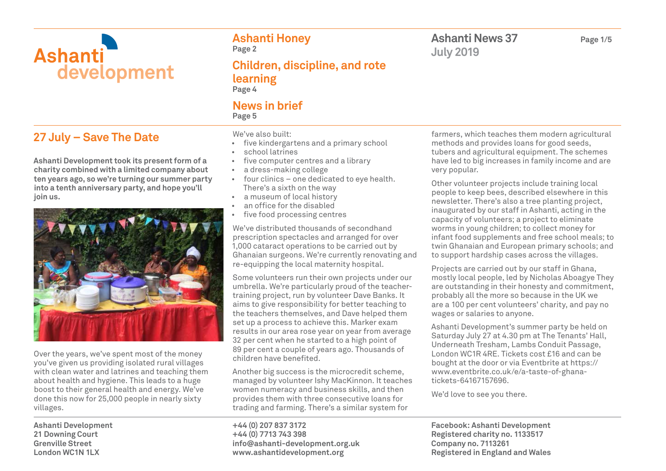

# **27 July – Save The Date**

**Ashanti Development took its present form of a charity combined with a limited company about ten years ago, so we're turning our summer party into a tenth anniversary party, and hope you'll join us.**



Over the years, we've spent most of the money you've given us providing isolated rural villages with clean water and latrines and teaching them about health and hygiene. This leads to a huge boost to their general health and energy. We've done this now for 25,000 people in nearly sixty villages.

**Ashanti Development 21 Downing Court Grenville Street London WC1N 1LX**

**Ashanti Honey Page 2**

**Children, discipline, and rote learning Page 4**

### **News in brief Page 5**

We've also built:

- five kindergartens and a primary school
- school latrines
- five computer centres and a library
- a dress-making college
- four clinics one dedicated to eye health. There's a sixth on the way
- a museum of local history
- an office for the disabled
- five food processing centres

We've distributed thousands of secondhand prescription spectacles and arranged for over 1,000 cataract operations to be carried out by Ghanaian surgeons. We're currently renovating and re-equipping the local maternity hospital.

Some volunteers run their own projects under our umbrella. We're particularly proud of the teachertraining project, run by volunteer Dave Banks. It aims to give responsibility for better teaching to the teachers themselves, and Dave helped them set up a process to achieve this. Marker exam results in our area rose year on year from average 32 per cent when he started to a high point of 89 per cent a couple of years ago. Thousands of children have benefited.

Another big success is the microcredit scheme, managed by volunteer Ishy MacKinnon. It teaches women numeracy and business skills, and then provides them with three consecutive loans for trading and farming. There's a similar system for

**+44 (0) 207 837 3172 +44 (0) 7713 743 398 info@ashanti-development.org.uk www.ashantidevelopment.org**

**Ashanti News 37 Page 1/5 July 2019**

farmers, which teaches them modern agricultural methods and provides loans for good seeds, tubers and agricultural equipment. The schemes have led to big increases in family income and are very popular.

Other volunteer projects include training local people to keep bees, described elsewhere in this newsletter. There's also a tree planting project, inaugurated by our staff in Ashanti, acting in the capacity of volunteers; a project to eliminate worms in young children; to collect money for infant food supplements and free school meals; to twin Ghanaian and European primary schools; and to support hardship cases across the villages.

Projects are carried out by our staff in Ghana, mostly local people, led by Nicholas Aboagye They are outstanding in their honesty and commitment, probably all the more so because in the UK we are a 100 per cent volunteers' charity, and pay no wages or salaries to anyone.

Ashanti Development's summer party be held on Saturday July 27 at 4.30 pm at The Tenants' Hall, Underneath Tresham, Lambs Conduit Passage, London WC1R 4RE. Tickets cost £16 and can be bought at the door or via Eventbrite at https:// www.eventbrite.co.uk/e/a-taste-of-ghanatickets-64167157696.

We'd love to see you there.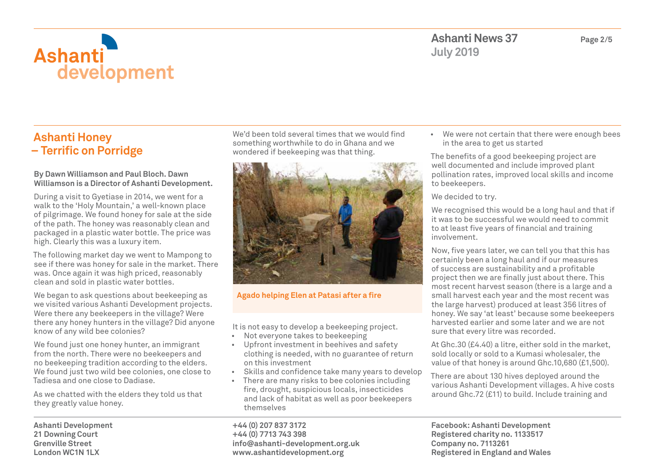

## **Ashanti Honey – Terrific on Porridge**

#### **By Dawn Williamson and Paul Bloch. Dawn Williamson is a Director of Ashanti Development.**

During a visit to Gyetiase in 2014, we went for a walk to the 'Holy Mountain,' a well-known place of pilgrimage. We found honey for sale at the side of the path. The honey was reasonably clean and packaged in a plastic water bottle. The price was high. Clearly this was a luxury item.

The following market day we went to Mampong to see if there was honey for sale in the market. There was. Once again it was high priced, reasonably clean and sold in plastic water bottles.

We began to ask questions about beekeeping as we visited various Ashanti Development projects. Were there any beekeepers in the village? Were there any honey hunters in the village? Did anyone know of any wild bee colonies?

We found just one honey hunter, an immigrant from the north. There were no beekeepers and no beekeeping tradition according to the elders. We found just two wild bee colonies, one close to Tadiesa and one close to Dadiase.

As we chatted with the elders they told us that they greatly value honey.

**Ashanti Development 21 Downing Court Grenville Street London WC1N 1LX**

We'd been told several times that we would find something worthwhile to do in Ghana and we wondered if beekeeping was that thing.



### **Agado helping Elen at Patasi after a fire**

It is not easy to develop a beekeeping project.

- Not everyone takes to beekeeping
- Upfront investment in beehives and safety clothing is needed, with no guarantee of return on this investment
- Skills and confidence take many years to develop
- There are many risks to bee colonies including fire, drought, suspicious locals, insecticides and lack of habitat as well as poor beekeepers themselves

**+44 (0) 207 837 3172 +44 (0) 7713 743 398 info@ashanti-development.org.uk www.ashantidevelopment.org**

• We were not certain that there were enough bees in the area to get us started

The benefits of a good beekeeping project are well documented and include improved plant pollination rates, improved local skills and income to beekeepers.

We decided to try.

We recognised this would be a long haul and that if it was to be successful we would need to commit to at least five years of financial and training involvement.

Now, five years later, we can tell you that this has certainly been a long haul and if our measures of success are sustainability and a profitable project then we are finally just about there. This most recent harvest season (there is a large and a small harvest each year and the most recent was the large harvest) produced at least 356 litres of honey. We say 'at least' because some beekeepers harvested earlier and some later and we are not sure that every litre was recorded.

At Ghc.30 (£4.40) a litre, either sold in the market, sold locally or sold to a Kumasi wholesaler, the value of that honey is around Ghc.10,680 (£1,500).

There are about 130 hives deployed around the various Ashanti Development villages. A hive costs around Ghc.72 (£11) to build. Include training and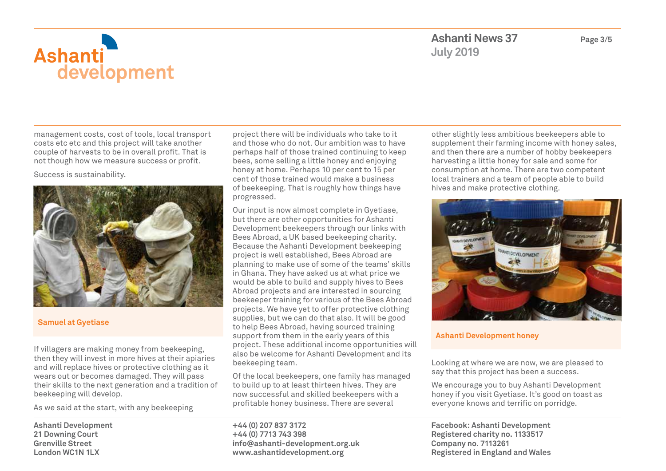

management costs, cost of tools, local transport costs etc etc and this project will take another couple of harvests to be in overall profit. That is not though how we measure success or profit.

Success is sustainability.



### **Samuel at Gyetiase**

If villagers are making money from beekeeping, then they will invest in more hives at their apiaries and will replace hives or protective clothing as it wears out or becomes damaged. They will pass their skills to the next generation and a tradition of beekeeping will develop.

As we said at the start, with any beekeeping

**Ashanti Development 21 Downing Court Grenville Street London WC1N 1LX**

project there will be individuals who take to it and those who do not. Our ambition was to have perhaps half of those trained continuing to keep bees, some selling a little honey and enjoying honey at home. Perhaps 10 per cent to 15 per cent of those trained would make a business of beekeeping. That is roughly how things have progressed.

Our input is now almost complete in Gyetiase, but there are other opportunities for Ashanti Development beekeepers through our links with Bees Abroad, a UK based beekeeping charity. Because the Ashanti Development beekeeping project is well established, Bees Abroad are planning to make use of some of the teams' skills in Ghana. They have asked us at what price we would be able to build and supply hives to Bees Abroad projects and are interested in sourcing beekeeper training for various of the Bees Abroad projects. We have yet to offer protective clothing supplies, but we can do that also. It will be good to help Bees Abroad, having sourced training support from them in the early years of this project. These additional income opportunities will also be welcome for Ashanti Development and its beekeeping team.

Of the local beekeepers, one family has managed to build up to at least thirteen hives. They are now successful and skilled beekeepers with a profitable honey business. There are several

**+44 (0) 207 837 3172 +44 (0) 7713 743 398 info@ashanti-development.org.uk www.ashantidevelopment.org**

other slightly less ambitious beekeepers able to supplement their farming income with honey sales, and then there are a number of hobby beekeepers harvesting a little honey for sale and some for consumption at home. There are two competent local trainers and a team of people able to build hives and make protective clothing.



#### **Ashanti Development honey**

Looking at where we are now, we are pleased to say that this project has been a success.

We encourage you to buy Ashanti Development honey if you visit Gyetiase. It's good on toast as everyone knows and terrific on porridge.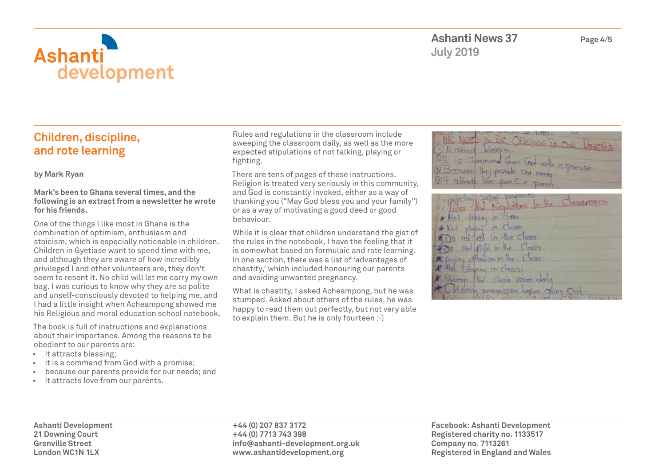

# **Children, discipline, and rote learning**

**by Mark Ryan**

#### **Mark's been to Ghana several times, and the following is an extract from a newsletter he wrote for his friends.**

One of the things I like most in Ghana is the combination of optimism, enthusiasm and stoicism, which is especially noticeable in children. Children in Gyetiase want to spend time with me, and although they are aware of how incredibly privileged I and other volunteers are, they don't seem to resent it. No child will let me carry my own bag. I was curious to know why they are so polite and unself-consciously devoted to helping me, and I had a little insight when Acheampong showed me his Religious and moral education school notebook.

The book is full of instructions and explanations about their importance. Among the reasons to be obedient to our parents are:

- it attracts blessing;
- it is a command from God with a promise;
- because our parents provide for our needs; and
- it attracts love from our parents.

Rules and regulations in the classroom include sweeping the classroom daily, as well as the more expected stipulations of not talking, playing or fighting.

There are tens of pages of these instructions. Religion is treated very seriously in this community, and God is constantly invoked, either as a way of thanking you ("May God bless you and your family") or as a way of motivating a good deed or good behaviour.

While it is clear that children understand the gist of the rules in the notebook, I have the feeling that it is somewhat based on formulaic and rote learning. In one section, there was a list of 'advantages of chastity,' which included honouring our parents and avoiding unwanted pregnancy.

What is chastity, I asked Acheampong, but he was stumped. Asked about others of the rules, he was happy to read them out perfectly, but not very able to explain them. But he is only fourteen :-)

| E LEED                                    |
|-------------------------------------------|
| Le BC CREDELLO COM<br>(1) H allocat bless |
|                                           |
| Oll is Command from God with a promise.   |
| (3) Birmise like provide our needs.       |
| D4 allegets love from C 10 parent         |

10) Regulations In the Classroom \* Not taking in does please in Chase The not of in the class Do For In he \* Putting allow on its the Greinn In dags. **ING** Class Coom dolly **CHO** laining permetation before point Out

**Ashanti Development 21 Downing Court Grenville Street London WC1N 1LX**

**+44 (0) 207 837 3172 +44 (0) 7713 743 398 info@ashanti-development.org.uk www.ashantidevelopment.org**